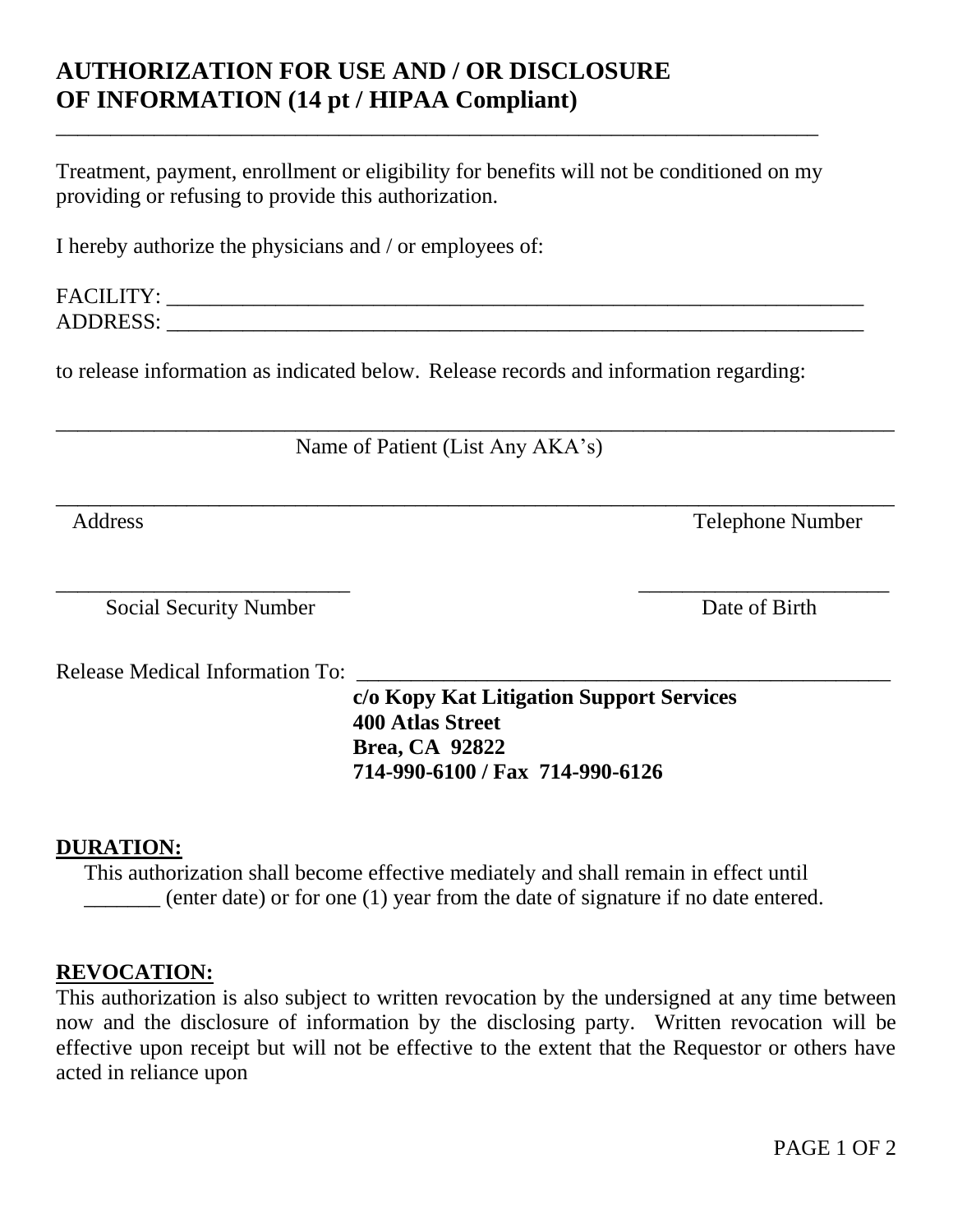## **AUTHORIZATION FOR USE AND / OR DISCLOSURE OF INFORMATION (14 pt / HIPAA Compliant)**

Treatment, payment, enrollment or eligibility for benefits will not be conditioned on my providing or refusing to provide this authorization.

\_\_\_\_\_\_\_\_\_\_\_\_\_\_\_\_\_\_\_\_\_\_\_\_\_\_\_\_\_\_\_\_\_\_\_\_\_\_\_\_\_\_\_\_\_\_\_\_\_\_\_\_\_\_\_\_\_\_\_\_\_\_\_\_\_\_\_\_\_\_

I hereby authorize the physicians and / or employees of:

| FELT T<br>$E^{\Lambda}$            |  |
|------------------------------------|--|
| $\sim$ $\sim$ $\sim$<br>$\Delta$ I |  |

to release information as indicated below. Release records and information regarding:

Name of Patient (List Any AKA's)

\_\_\_\_\_\_\_\_\_\_\_\_\_\_\_\_\_\_\_\_\_\_\_\_\_\_\_\_\_\_\_\_\_\_\_\_\_\_\_\_\_\_\_\_\_\_\_\_\_\_\_\_\_\_\_\_\_\_\_\_\_\_\_\_\_\_\_\_\_\_\_\_\_\_\_\_\_

\_\_\_\_\_\_\_\_\_\_\_\_\_\_\_\_\_\_\_\_\_\_\_\_\_\_\_\_\_\_\_\_\_\_\_\_\_\_\_\_\_\_\_\_\_\_\_\_\_\_\_\_\_\_\_\_\_\_\_\_\_\_\_\_\_\_\_\_\_\_\_\_\_\_\_\_\_

Address Telephone Number

\_\_\_\_\_\_\_\_\_\_\_\_\_\_\_\_\_\_\_\_\_\_\_\_\_\_\_ \_\_\_\_\_\_\_\_\_\_\_\_\_\_\_\_\_\_\_\_\_\_\_ Social Security Number Date of Birth

Release Medical Information To:

**c/o Kopy Kat Litigation Support Services 400 Atlas Street Brea, CA 92822 714-990-6100 / Fax 714-990-6126**

## **DURATION:**

This authorization shall become effective mediately and shall remain in effect until \_\_\_\_\_\_\_ (enter date) or for one (1) year from the date of signature if no date entered.

## **REVOCATION:**

This authorization is also subject to written revocation by the undersigned at any time between now and the disclosure of information by the disclosing party. Written revocation will be effective upon receipt but will not be effective to the extent that the Requestor or others have acted in reliance upon